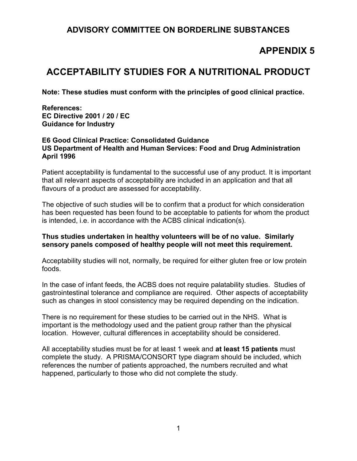## **ADVISORY COMMITTEE ON BORDERLINE SUBSTANCES**

# **APPENDIX 5**

# **ACCEPTABILITY STUDIES FOR A NUTRITIONAL PRODUCT**

**Note: These studies must conform with the principles of good clinical practice.** 

**References: EC Directive 2001 / 20 / EC Guidance for Industry** 

#### **E6 Good Clinical Practice: Consolidated Guidance US Department of Health and Human Services: Food and Drug Administration April 1996**

Patient acceptability is fundamental to the successful use of any product. It is important that all relevant aspects of acceptability are included in an application and that all flavours of a product are assessed for acceptability.

The objective of such studies will be to confirm that a product for which consideration has been requested has been found to be acceptable to patients for whom the product is intended, i.e. in accordance with the ACBS clinical indication(s).

#### **Thus studies undertaken in healthy volunteers will be of no value. Similarly sensory panels composed of healthy people will not meet this requirement.**

Acceptability studies will not, normally, be required for either gluten free or low protein foods.

In the case of infant feeds, the ACBS does not require palatability studies. Studies of gastrointestinal tolerance and compliance are required. Other aspects of acceptability such as changes in stool consistency may be required depending on the indication.

There is no requirement for these studies to be carried out in the NHS. What is important is the methodology used and the patient group rather than the physical location. However, cultural differences in acceptability should be considered.

All acceptability studies must be for at least 1 week and **at least 15 patients** must complete the study. A PRISMA/CONSORT type diagram should be included, which references the number of patients approached, the numbers recruited and what happened, particularly to those who did not complete the study.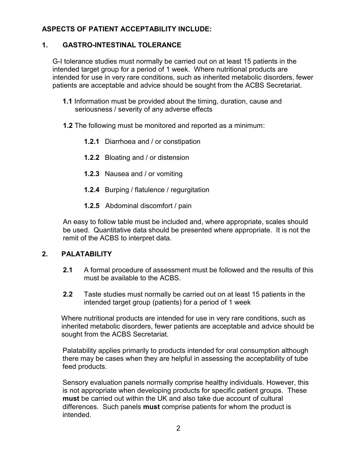### **ASPECTS OF PATIENT ACCEPTABILITY INCLUDE:**

### **1. GASTRO-INTESTINAL TOLERANCE**

 G-I tolerance studies must normally be carried out on at least 15 patients in the intended target group for a period of 1 week. Where nutritional products are intended for use in very rare conditions, such as inherited metabolic disorders, fewer patients are acceptable and advice should be sought from the ACBS Secretariat.

- **1.1** Information must be provided about the timing, duration, cause and seriousness / severity of any adverse effects
- **1.2** The following must be monitored and reported as a minimum:
	- **1.2.1** Diarrhoea and / or constipation
	- **1.2.2** Bloating and / or distension
	- **1.2.3** Nausea and / or vomiting
	- **1.2.4** Burping / flatulence / regurgitation
	- **1.2.5** Abdominal discomfort / pain

 An easy to follow table must be included and, where appropriate, scales should be used. Quantitative data should be presented where appropriate. It is not the remit of the ACBS to interpret data.

#### **2. PALATABILITY**

- **2.1** A formal procedure of assessment must be followed and the results of this must be available to the ACBS.
- **2.2** Taste studies must normally be carried out on at least 15 patients in the intended target group (patients) for a period of 1 week

 Where nutritional products are intended for use in very rare conditions, such as inherited metabolic disorders, fewer patients are acceptable and advice should be sought from the ACBS Secretariat.

Palatability applies primarily to products intended for oral consumption although there may be cases when they are helpful in assessing the acceptability of tube feed products.

Sensory evaluation panels normally comprise healthy individuals. However, this is not appropriate when developing products for specific patient groups. These **must** be carried out within the UK and also take due account of cultural differences. Such panels **must** comprise patients for whom the product is intended.